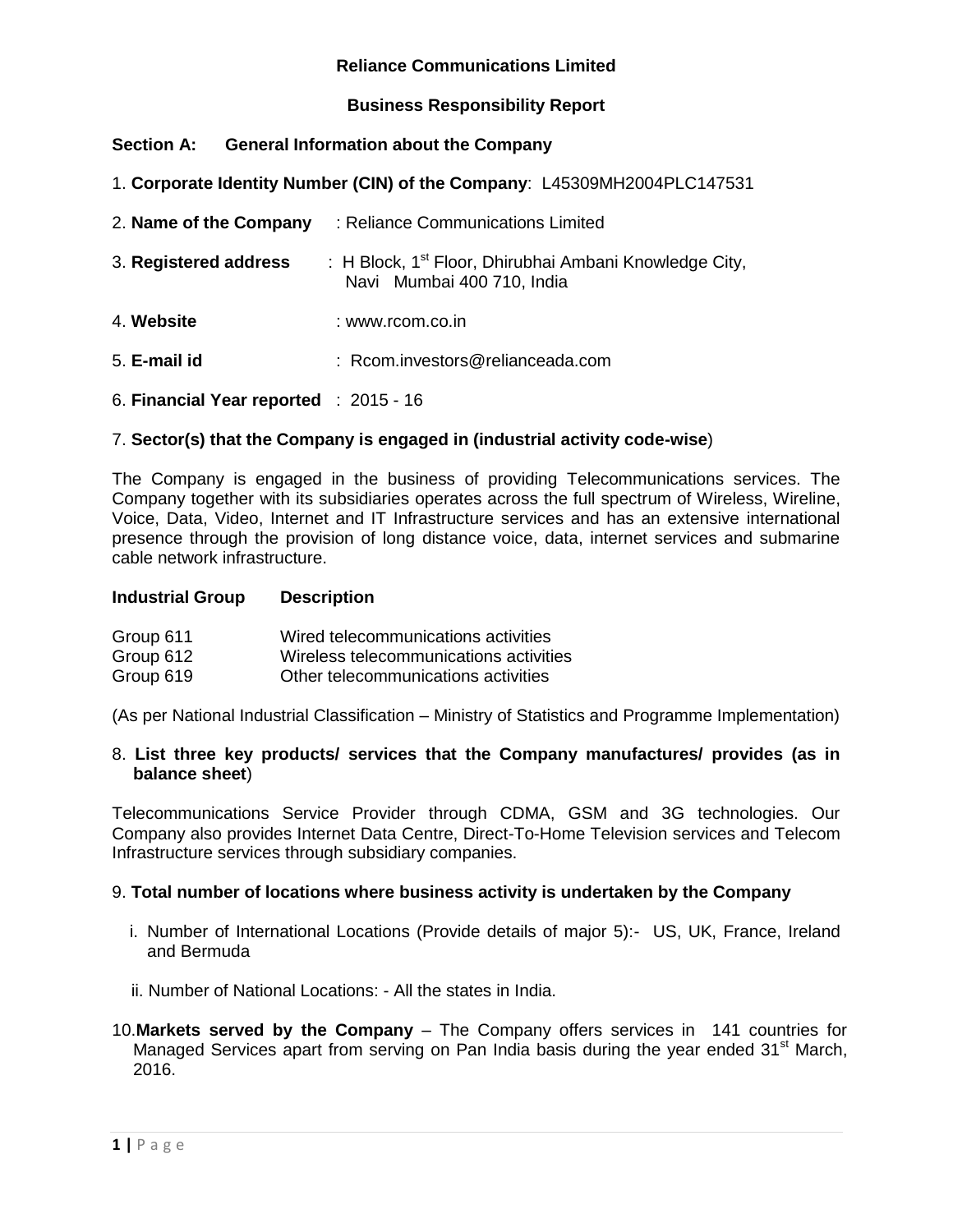### **Business Responsibility Report**

### **Section A: General Information about the Company**

1. **Corporate Identity Number (CIN) of the Company**: L45309MH2004PLC147531

| 2. Name of the Company                 | : Reliance Communications Limited                                                                |
|----------------------------------------|--------------------------------------------------------------------------------------------------|
| 3. Registered address                  | : H Block, 1 <sup>st</sup> Floor, Dhirubhai Ambani Knowledge City,<br>Navi Mumbai 400 710, India |
| 4. Website                             | : www.rcom.co.in                                                                                 |
| 5. E-mail id                           | : Rcom.investors@relianceada.com                                                                 |
| 6. Financial Year reported : 2015 - 16 |                                                                                                  |

### 7. **Sector(s) that the Company is engaged in (industrial activity code-wise**)

The Company is engaged in the business of providing Telecommunications services. The Company together with its subsidiaries operates across the full spectrum of Wireless, Wireline, Voice, Data, Video, Internet and IT Infrastructure services and has an extensive international presence through the provision of long distance voice, data, internet services and submarine cable network infrastructure.

#### **Industrial Group Description**

| Group 611 | Wired telecommunications activities    |
|-----------|----------------------------------------|
| Group 612 | Wireless telecommunications activities |
| Group 619 | Other telecommunications activities    |

(As per National Industrial Classification – Ministry of Statistics and Programme Implementation)

#### 8. **List three key products/ services that the Company manufactures/ provides (as in balance sheet**)

Telecommunications Service Provider through CDMA, GSM and 3G technologies. Our Company also provides Internet Data Centre, Direct-To-Home Television services and Telecom Infrastructure services through subsidiary companies.

#### 9. **Total number of locations where business activity is undertaken by the Company**

- i. Number of International Locations (Provide details of major 5):- US, UK, France, Ireland and Bermuda
- ii. Number of National Locations: All the states in India.
- 10.**Markets served by the Company** The Company offers services in 141 countries for Managed Services apart from serving on Pan India basis during the year ended 31<sup>st</sup> March, 2016.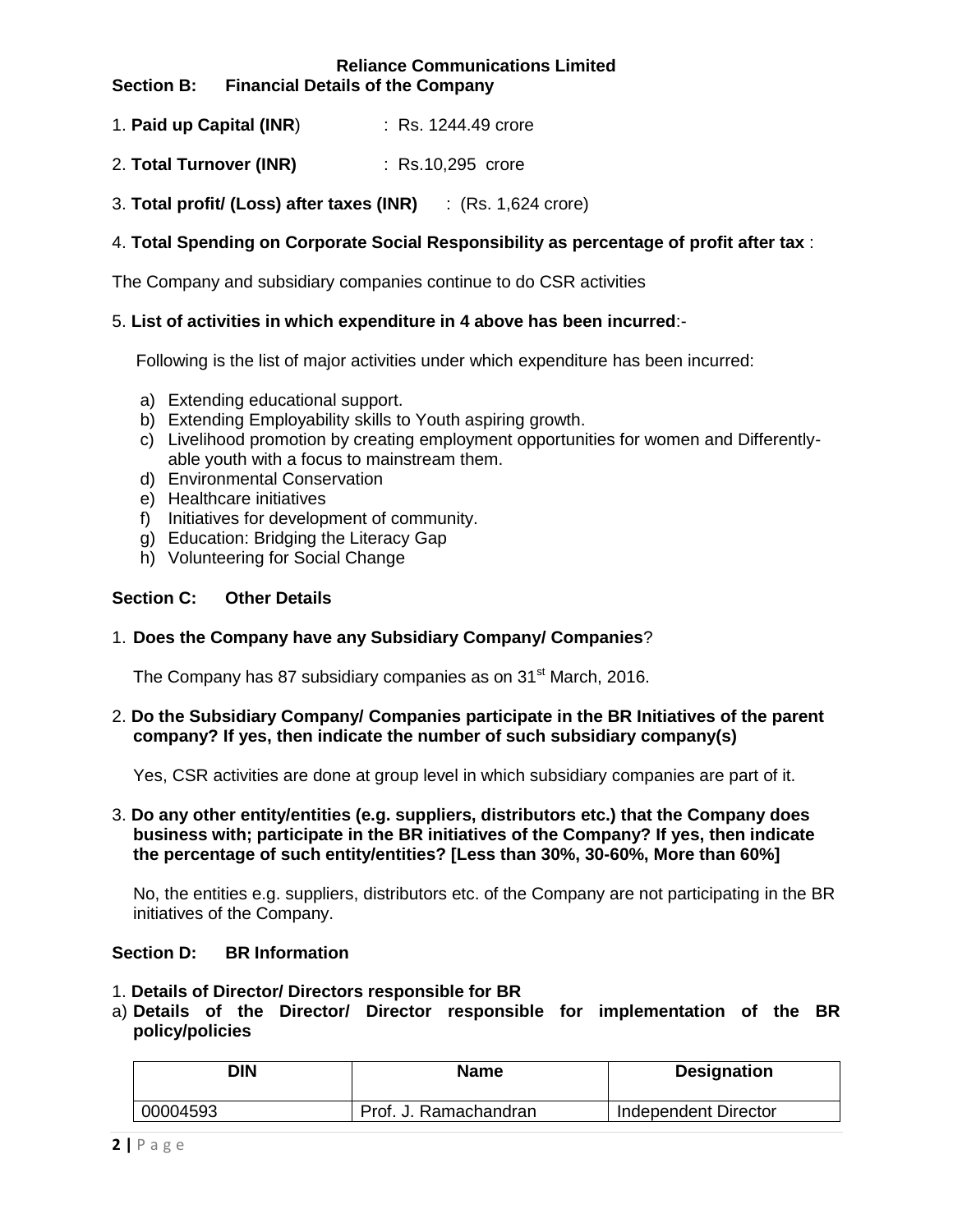#### **Reliance Communications Limited Section B: Financial Details of the Company**

- 1. **Paid up Capital (INR**) : Rs. 1244.49 crore
- 2. **Total Turnover (INR)** : Rs.10,295 crore
- 3. **Total profit/ (Loss) after taxes (INR)** : (Rs. 1,624 crore)

### 4. **Total Spending on Corporate Social Responsibility as percentage of profit after tax** :

The Company and subsidiary companies continue to do CSR activities

### 5. **List of activities in which expenditure in 4 above has been incurred**:-

Following is the list of major activities under which expenditure has been incurred:

- a) Extending educational support.
- b) Extending Employability skills to Youth aspiring growth.
- c) Livelihood promotion by creating employment opportunities for women and Differentlyable youth with a focus to mainstream them.
- d) Environmental Conservation
- e) Healthcare initiatives
- f) Initiatives for development of community.
- g) Education: Bridging the Literacy Gap
- h) Volunteering for Social Change

#### **Section C: Other Details**

#### 1. **Does the Company have any Subsidiary Company/ Companies**?

The Company has 87 subsidiary companies as on 31<sup>st</sup> March, 2016.

2. **Do the Subsidiary Company/ Companies participate in the BR Initiatives of the parent company? If yes, then indicate the number of such subsidiary company(s)** 

Yes, CSR activities are done at group level in which subsidiary companies are part of it.

### 3. **Do any other entity/entities (e.g. suppliers, distributors etc.) that the Company does business with; participate in the BR initiatives of the Company? If yes, then indicate the percentage of such entity/entities? [Less than 30%, 30-60%, More than 60%]**

No, the entities e.g. suppliers, distributors etc. of the Company are not participating in the BR initiatives of the Company.

#### **Section D: BR Information**

- 1. **Details of Director/ Directors responsible for BR**
- a) **Details of the Director/ Director responsible for implementation of the BR policy/policies**

| DIN      | Name                  | <b>Designation</b>   |
|----------|-----------------------|----------------------|
| 00004593 | Prof. J. Ramachandran | Independent Director |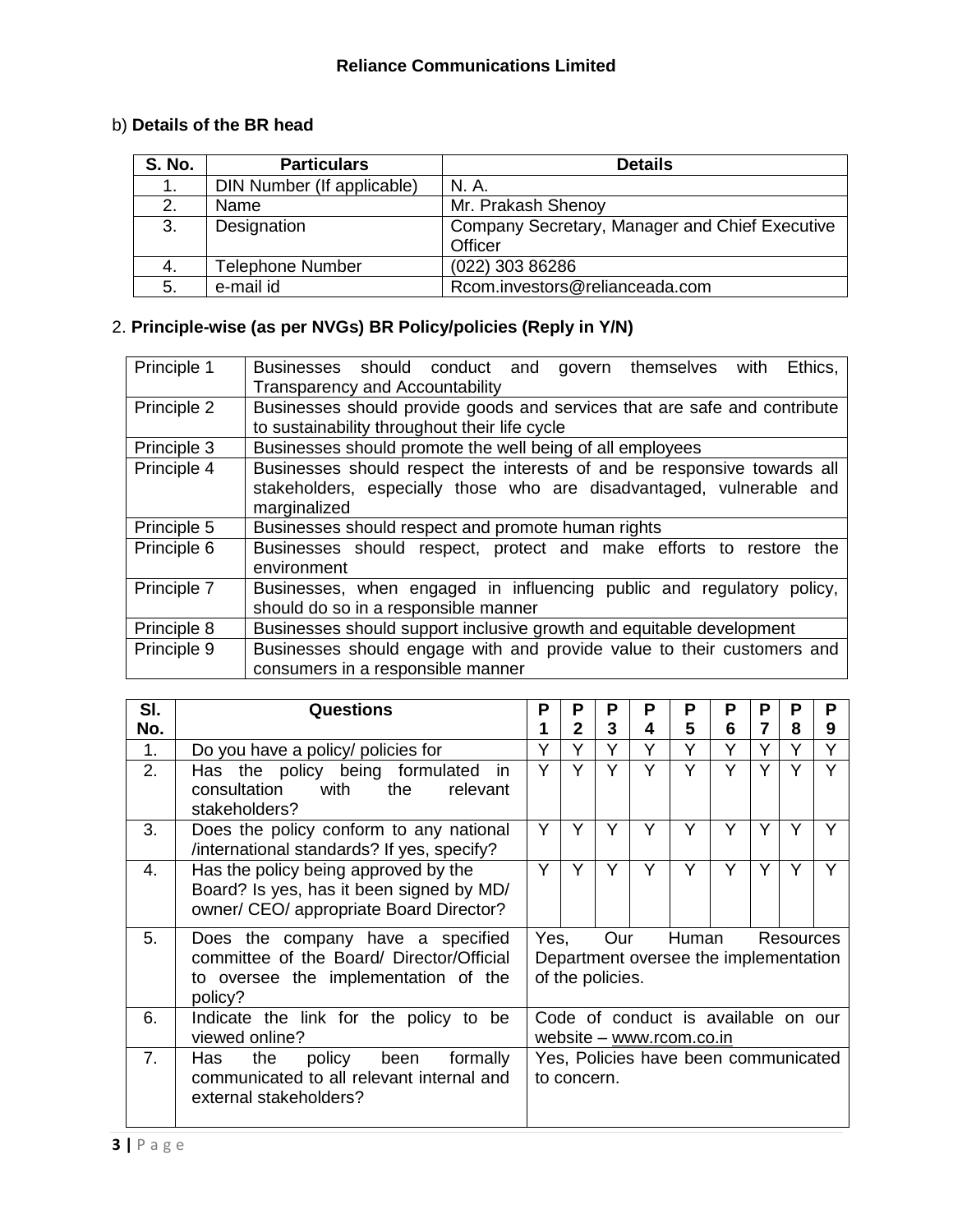# b) **Details of the BR head**

| <b>S. No.</b> | <b>Particulars</b>         | <b>Details</b>                                 |
|---------------|----------------------------|------------------------------------------------|
|               | DIN Number (If applicable) | N. A.                                          |
| 2.            | Name                       | Mr. Prakash Shenoy                             |
| 3.            | Designation                | Company Secretary, Manager and Chief Executive |
|               |                            | Officer                                        |
| 4.            | <b>Telephone Number</b>    | (022) 303 86286                                |
| 5.            | e-mail id                  | Rcom.investors@relianceada.com                 |

# 2. **Principle-wise (as per NVGs) BR Policy/policies (Reply in Y/N)**

| Principle 1 | Ethics,<br>Businesses should conduct and govern themselves with<br>Transparency and Accountability                                                               |
|-------------|------------------------------------------------------------------------------------------------------------------------------------------------------------------|
| Principle 2 | Businesses should provide goods and services that are safe and contribute<br>to sustainability throughout their life cycle                                       |
| Principle 3 | Businesses should promote the well being of all employees                                                                                                        |
| Principle 4 | Businesses should respect the interests of and be responsive towards all<br>stakeholders, especially those who are disadvantaged, vulnerable and<br>marginalized |
| Principle 5 | Businesses should respect and promote human rights                                                                                                               |
| Principle 6 | Businesses should respect, protect and make efforts to restore<br>the<br>environment                                                                             |
| Principle 7 | Businesses, when engaged in influencing public and regulatory policy,<br>should do so in a responsible manner                                                    |
| Principle 8 | Businesses should support inclusive growth and equitable development                                                                                             |
| Principle 9 | Businesses should engage with and provide value to their customers and<br>consumers in a responsible manner                                                      |

| SI. | <b>Questions</b>                                                                                                                  | Р                                                                               | P            | Р                       | Р | Р                                              | P | Р | P         | P |
|-----|-----------------------------------------------------------------------------------------------------------------------------------|---------------------------------------------------------------------------------|--------------|-------------------------|---|------------------------------------------------|---|---|-----------|---|
| No. |                                                                                                                                   |                                                                                 | $\mathbf{2}$ | 3                       | 4 | 5                                              | 6 | 7 | 8         | 9 |
| 1.  | Do you have a policy/ policies for                                                                                                |                                                                                 | Υ            | Υ                       | Y | Υ                                              | Y | Υ | Υ         | Υ |
| 2.  | Has the policy being formulated<br>in.<br>with<br>consultation<br>the<br>relevant<br>stakeholders?                                | Υ                                                                               | Υ            | Y                       | Υ | Υ                                              | Y | Y | Υ         |   |
| 3.  | Does the policy conform to any national<br>/international standards? If yes, specify?                                             | Y                                                                               | Y            | Υ                       | Y | Υ                                              | Υ | Υ | Υ         |   |
| 4.  | Has the policy being approved by the<br>Board? Is yes, has it been signed by MD/<br>owner/ CEO/ appropriate Board Director?       | Υ                                                                               | Υ            | Y                       | Y | Υ                                              | Y | Y | Y         |   |
| 5.  | Does the company have a specified<br>committee of the Board/ Director/Official<br>to oversee the implementation of the<br>policy? |                                                                                 | Yes,         | Our<br>of the policies. |   | Human<br>Department oversee the implementation |   |   | Resources |   |
| 6.  | Indicate the link for the policy to be<br>viewed online?                                                                          |                                                                                 |              |                         |   | Code of conduct is available on our            |   |   |           |   |
| 7.  | Has<br>policy<br>formally<br>the<br>been<br>communicated to all relevant internal and<br>external stakeholders?                   | website - www.rcom.co.in<br>Yes, Policies have been communicated<br>to concern. |              |                         |   |                                                |   |   |           |   |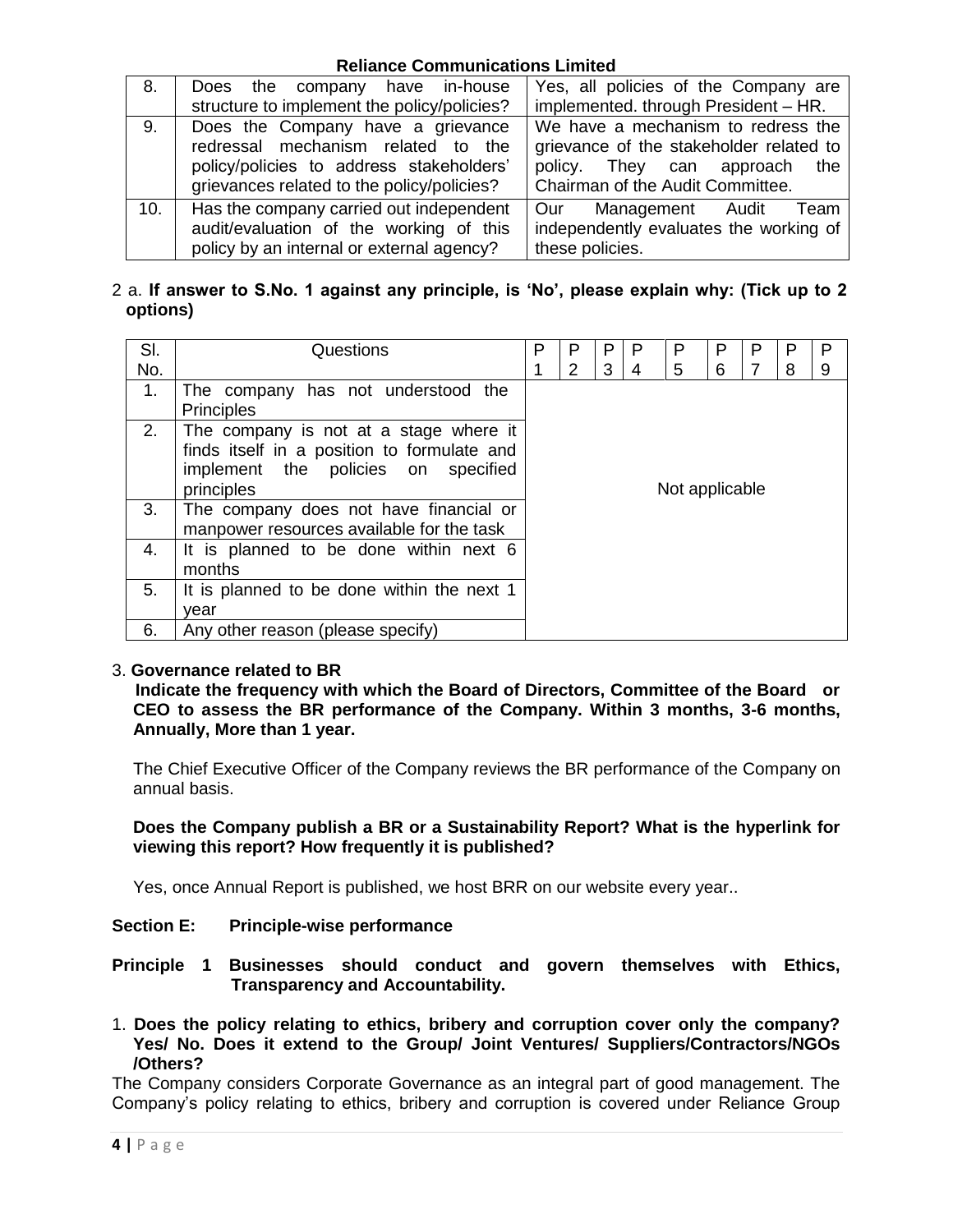| 8.  | the company have in-house<br>Does<br>structure to implement the policy/policies?                                                                                  | Yes, all policies of the Company are<br>implemented. through President - HR.                                                                          |  |  |  |
|-----|-------------------------------------------------------------------------------------------------------------------------------------------------------------------|-------------------------------------------------------------------------------------------------------------------------------------------------------|--|--|--|
| 9.  | Does the Company have a grievance<br>redressal mechanism related to the<br>policy/policies to address stakeholders'<br>grievances related to the policy/policies? | We have a mechanism to redress the<br>grievance of the stakeholder related to<br>policy. They can approach<br>the<br>Chairman of the Audit Committee. |  |  |  |
| 10. | Has the company carried out independent<br>audit/evaluation of the working of this<br>policy by an internal or external agency?                                   | Our Management Audit<br>Team<br>independently evaluates the working of<br>these policies.                                                             |  |  |  |

# 2 a. **If answer to S.No. 1 against any principle, is 'No', please explain why: (Tick up to 2 options)**

| SI. | Questions                                                                                                                                  | P | Р | P | P | Р              | P | Р | P | P |
|-----|--------------------------------------------------------------------------------------------------------------------------------------------|---|---|---|---|----------------|---|---|---|---|
| No. |                                                                                                                                            |   | 2 | 3 | 4 | 5              | 6 |   | 8 | 9 |
| 1.  | The company has not understood the<br><b>Principles</b>                                                                                    |   |   |   |   |                |   |   |   |   |
| 2.  | The company is not at a stage where it<br>finds itself in a position to formulate and<br>implement the policies on specified<br>principles |   |   |   |   | Not applicable |   |   |   |   |
| 3.  | The company does not have financial or<br>manpower resources available for the task                                                        |   |   |   |   |                |   |   |   |   |
| 4.  | It is planned to be done within next 6<br>months                                                                                           |   |   |   |   |                |   |   |   |   |
| 5.  | It is planned to be done within the next 1<br>vear                                                                                         |   |   |   |   |                |   |   |   |   |
| 6.  | Any other reason (please specify)                                                                                                          |   |   |   |   |                |   |   |   |   |

# 3. **Governance related to BR**

 **Indicate the frequency with which the Board of Directors, Committee of the Board or CEO to assess the BR performance of the Company. Within 3 months, 3-6 months, Annually, More than 1 year.** 

The Chief Executive Officer of the Company reviews the BR performance of the Company on annual basis.

### **Does the Company publish a BR or a Sustainability Report? What is the hyperlink for viewing this report? How frequently it is published?**

Yes, once Annual Report is published, we host BRR on our website every year..

# **Section E: Principle-wise performance**

**Principle 1 Businesses should conduct and govern themselves with Ethics, Transparency and Accountability.**

1. **Does the policy relating to ethics, bribery and corruption cover only the company? Yes/ No. Does it extend to the Group/ Joint Ventures/ Suppliers/Contractors/NGOs /Others?** 

The Company considers Corporate Governance as an integral part of good management. The Company"s policy relating to ethics, bribery and corruption is covered under Reliance Group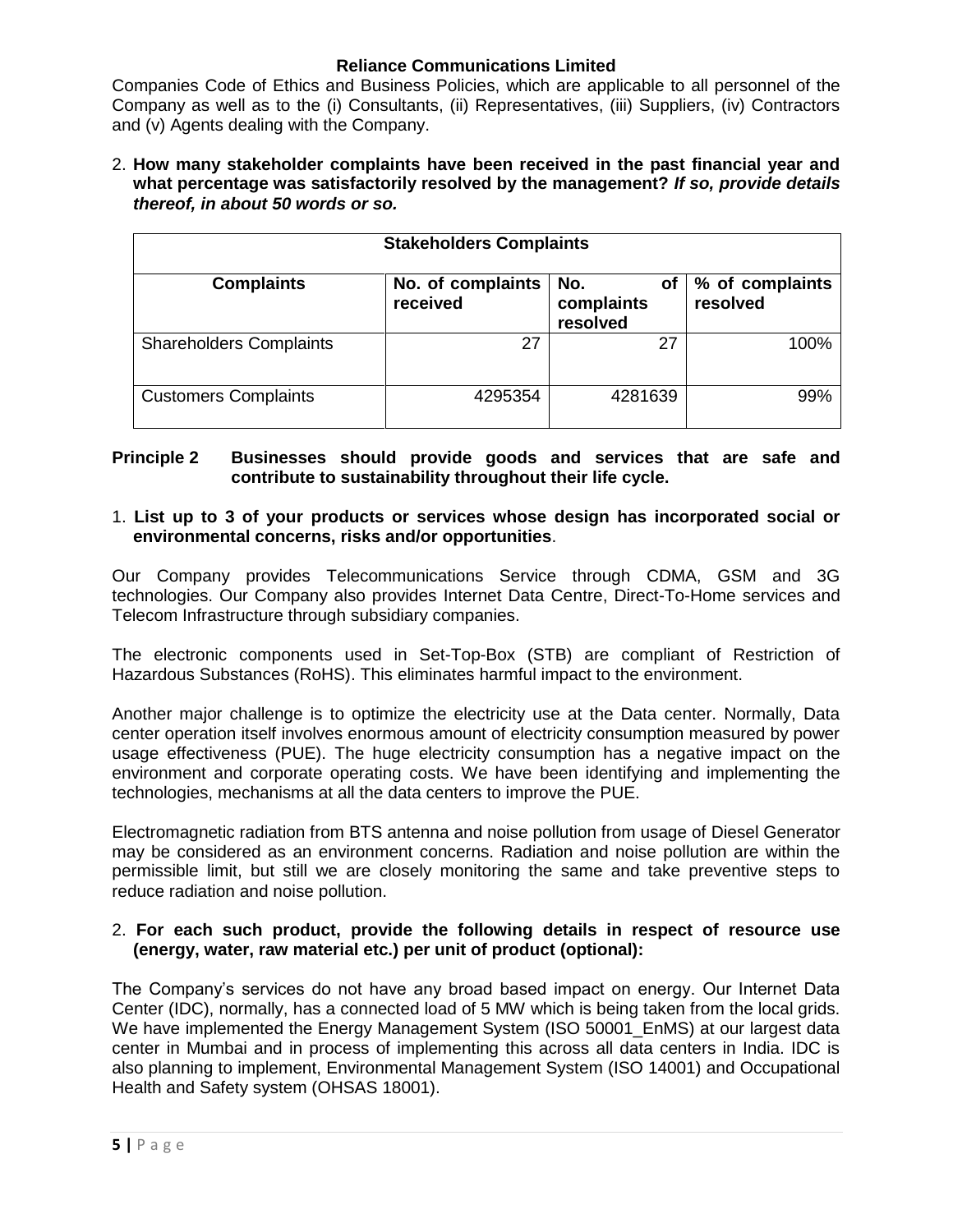Companies Code of Ethics and Business Policies, which are applicable to all personnel of the Company as well as to the (i) Consultants, (ii) Representatives, (iii) Suppliers, (iv) Contractors and (v) Agents dealing with the Company.

2. **How many stakeholder complaints have been received in the past financial year and what percentage was satisfactorily resolved by the management?** *If so, provide details thereof, in about 50 words or so.* 

| <b>Stakeholders Complaints</b> |                               |                                     |                             |  |  |  |  |
|--------------------------------|-------------------------------|-------------------------------------|-----------------------------|--|--|--|--|
| <b>Complaints</b>              | No. of complaints<br>received | No.<br>оf<br>complaints<br>resolved | % of complaints<br>resolved |  |  |  |  |
| <b>Shareholders Complaints</b> | 27                            | 27                                  | 100%                        |  |  |  |  |
| <b>Customers Complaints</b>    | 4295354                       | 4281639                             | 99%                         |  |  |  |  |

## **Principle 2 Businesses should provide goods and services that are safe and contribute to sustainability throughout their life cycle.**

# 1. **List up to 3 of your products or services whose design has incorporated social or environmental concerns, risks and/or opportunities**.

Our Company provides Telecommunications Service through CDMA, GSM and 3G technologies. Our Company also provides Internet Data Centre, Direct-To-Home services and Telecom Infrastructure through subsidiary companies.

The electronic components used in Set-Top-Box (STB) are compliant of Restriction of Hazardous Substances (RoHS). This eliminates harmful impact to the environment.

Another major challenge is to optimize the electricity use at the Data center. Normally, Data center operation itself involves enormous amount of electricity consumption measured by power usage effectiveness (PUE). The huge electricity consumption has a negative impact on the environment and corporate operating costs. We have been identifying and implementing the technologies, mechanisms at all the data centers to improve the PUE.

Electromagnetic radiation from BTS antenna and noise pollution from usage of Diesel Generator may be considered as an environment concerns. Radiation and noise pollution are within the permissible limit, but still we are closely monitoring the same and take preventive steps to reduce radiation and noise pollution.

# 2. **For each such product, provide the following details in respect of resource use (energy, water, raw material etc.) per unit of product (optional):**

The Company"s services do not have any broad based impact on energy. Our Internet Data Center (IDC), normally, has a connected load of 5 MW which is being taken from the local grids. We have implemented the Energy Management System (ISO 50001 EnMS) at our largest data center in Mumbai and in process of implementing this across all data centers in India. IDC is also planning to implement, Environmental Management System (ISO 14001) and Occupational Health and Safety system (OHSAS 18001).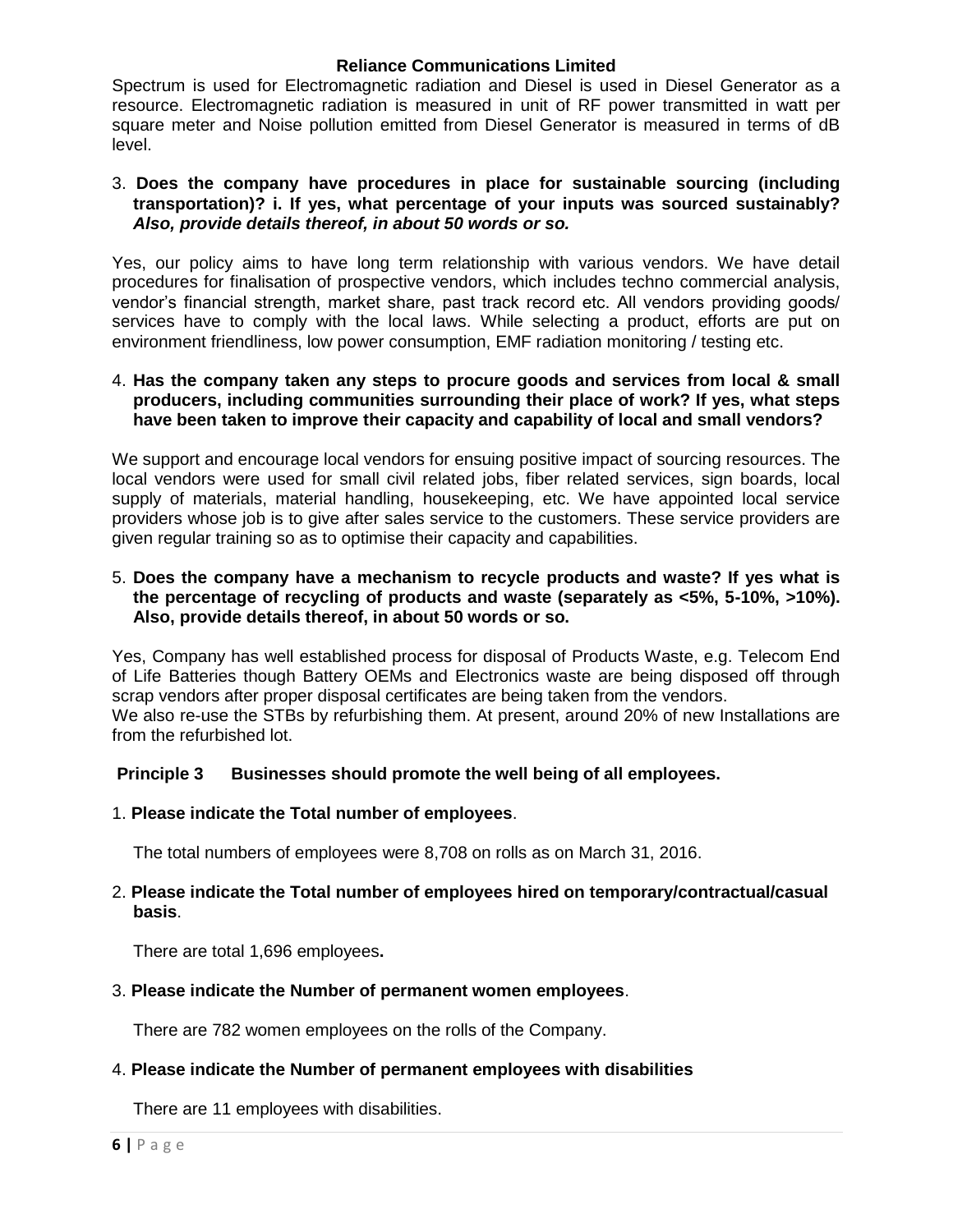Spectrum is used for Electromagnetic radiation and Diesel is used in Diesel Generator as a resource. Electromagnetic radiation is measured in unit of RF power transmitted in watt per square meter and Noise pollution emitted from Diesel Generator is measured in terms of dB level.

### 3. **Does the company have procedures in place for sustainable sourcing (including transportation)? i. If yes, what percentage of your inputs was sourced sustainably?**  *Also, provide details thereof, in about 50 words or so.*

Yes, our policy aims to have long term relationship with various vendors. We have detail procedures for finalisation of prospective vendors, which includes techno commercial analysis, vendor"s financial strength, market share, past track record etc. All vendors providing goods/ services have to comply with the local laws. While selecting a product, efforts are put on environment friendliness, low power consumption, EMF radiation monitoring / testing etc.

### 4. **Has the company taken any steps to procure goods and services from local & small producers, including communities surrounding their place of work? If yes, what steps have been taken to improve their capacity and capability of local and small vendors?**

We support and encourage local vendors for ensuing positive impact of sourcing resources. The local vendors were used for small civil related jobs, fiber related services, sign boards, local supply of materials, material handling, housekeeping, etc. We have appointed local service providers whose job is to give after sales service to the customers. These service providers are given regular training so as to optimise their capacity and capabilities.

### 5. **Does the company have a mechanism to recycle products and waste? If yes what is the percentage of recycling of products and waste (separately as <5%, 5-10%, >10%). Also, provide details thereof, in about 50 words or so.**

Yes, Company has well established process for disposal of Products Waste, e.g. Telecom End of Life Batteries though Battery OEMs and Electronics waste are being disposed off through scrap vendors after proper disposal certificates are being taken from the vendors. We also re-use the STBs by refurbishing them. At present, around 20% of new Installations are from the refurbished lot.

# **Principle 3 Businesses should promote the well being of all employees.**

1. **Please indicate the Total number of employees**.

The total numbers of employees were 8,708 on rolls as on March 31, 2016.

### 2. **Please indicate the Total number of employees hired on temporary/contractual/casual basis**.

There are total 1,696 employees**.** 

3. **Please indicate the Number of permanent women employees**.

There are 782 women employees on the rolls of the Company.

# 4. **Please indicate the Number of permanent employees with disabilities**

There are 11 employees with disabilities.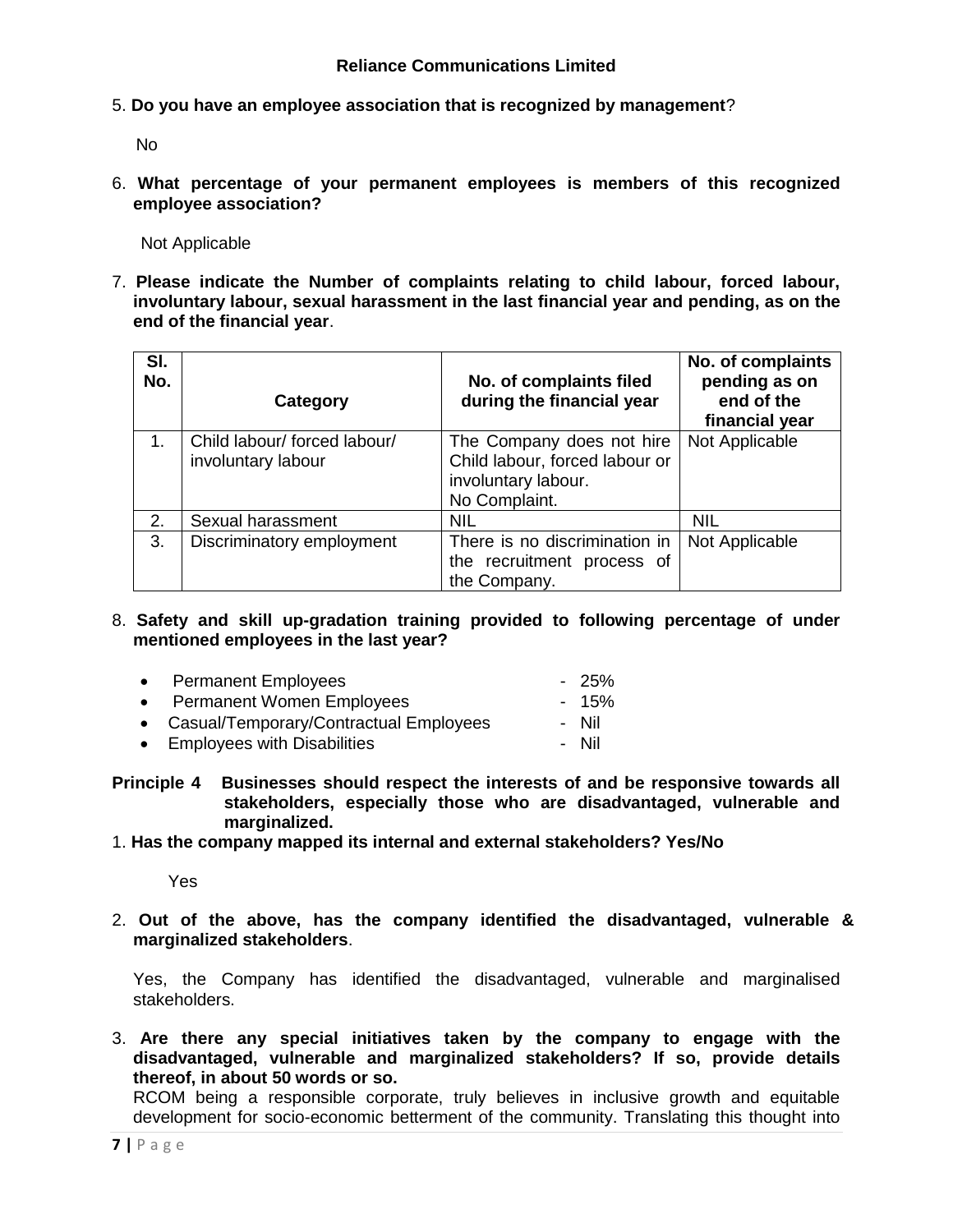5. **Do you have an employee association that is recognized by management**?

No

6. **What percentage of your permanent employees is members of this recognized employee association?**

Not Applicable

7. **Please indicate the Number of complaints relating to child labour, forced labour, involuntary labour, sexual harassment in the last financial year and pending, as on the end of the financial year**.

| SI.<br>No. | Category                                           | No. of complaints filed<br>during the financial year                                                | No. of complaints<br>pending as on<br>end of the<br>financial year |
|------------|----------------------------------------------------|-----------------------------------------------------------------------------------------------------|--------------------------------------------------------------------|
| $1_{-}$    | Child labour/ forced labour/<br>involuntary labour | The Company does not hire<br>Child labour, forced labour or<br>involuntary labour.<br>No Complaint. | Not Applicable                                                     |
| 2.         | Sexual harassment                                  | <b>NIL</b>                                                                                          | <b>NIL</b>                                                         |
| 3.         | Discriminatory employment                          | There is no discrimination in<br>the recruitment process of<br>the Company.                         | Not Applicable                                                     |

8. **Safety and skill up-gradation training provided to following percentage of under mentioned employees in the last year?**

| • Permanent Employees                    | - 25%  |
|------------------------------------------|--------|
| • Permanent Women Employees              | $-15%$ |
| • Casual/Temporary/Contractual Employees | - Nil  |
| • Employees with Disabilities            | - Nil  |
|                                          |        |

- **Principle 4 Businesses should respect the interests of and be responsive towards all stakeholders, especially those who are disadvantaged, vulnerable and marginalized.**
- 1. **Has the company mapped its internal and external stakeholders? Yes/No**

Yes

2. **Out of the above, has the company identified the disadvantaged, vulnerable & marginalized stakeholders**.

Yes, the Company has identified the disadvantaged, vulnerable and marginalised stakeholders.

3. **Are there any special initiatives taken by the company to engage with the disadvantaged, vulnerable and marginalized stakeholders? If so, provide details thereof, in about 50 words or so.**

RCOM being a responsible corporate, truly believes in inclusive growth and equitable development for socio-economic betterment of the community. Translating this thought into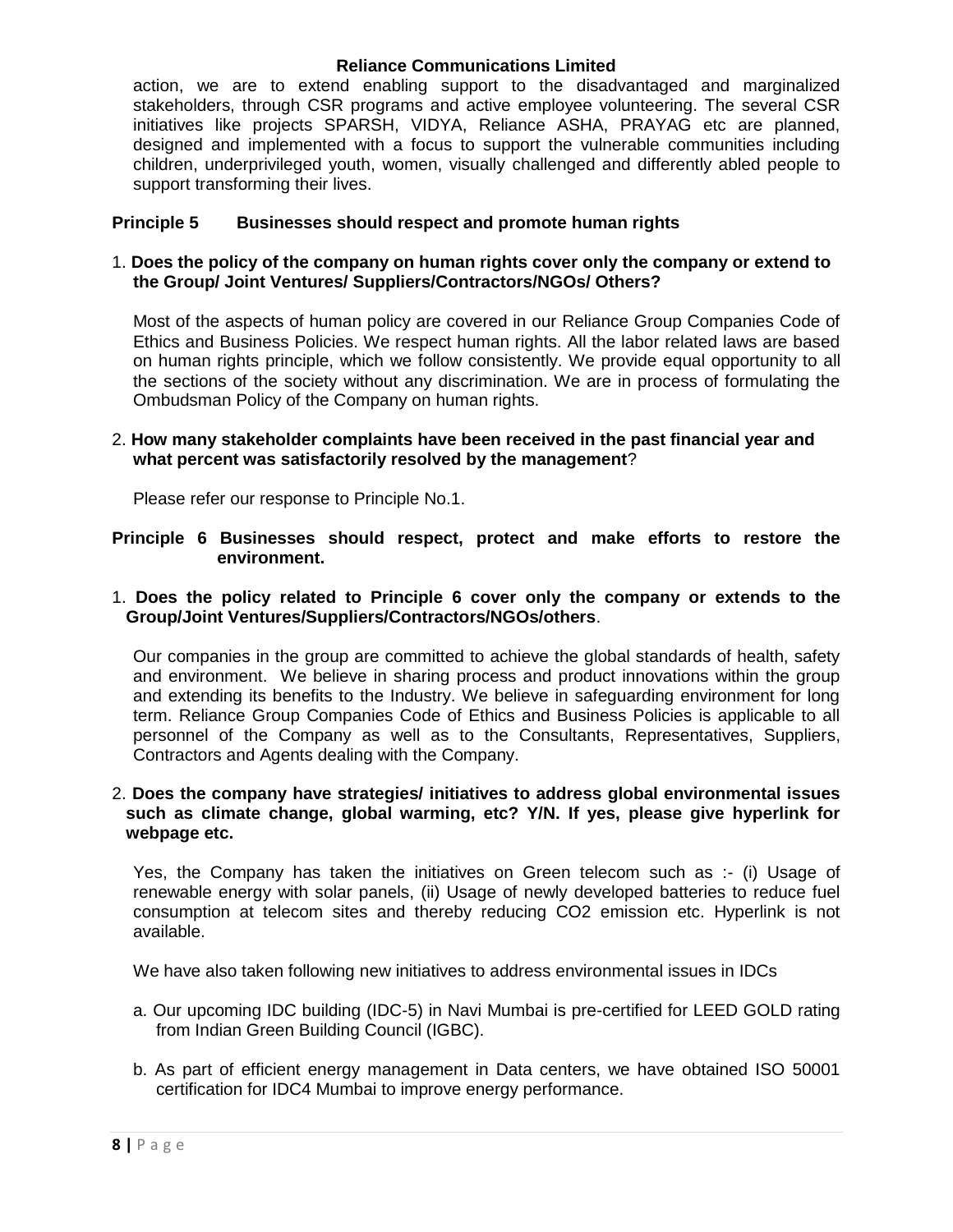action, we are to extend enabling support to the disadvantaged and marginalized stakeholders, through CSR programs and active employee volunteering. The several CSR initiatives like projects SPARSH, VIDYA, Reliance ASHA, PRAYAG etc are planned, designed and implemented with a focus to support the vulnerable communities including children, underprivileged youth, women, visually challenged and differently abled people to support transforming their lives.

## **Principle 5 Businesses should respect and promote human rights**

### 1. **Does the policy of the company on human rights cover only the company or extend to the Group/ Joint Ventures/ Suppliers/Contractors/NGOs/ Others?**

Most of the aspects of human policy are covered in our Reliance Group Companies Code of Ethics and Business Policies. We respect human rights. All the labor related laws are based on human rights principle, which we follow consistently. We provide equal opportunity to all the sections of the society without any discrimination. We are in process of formulating the Ombudsman Policy of the Company on human rights.

#### 2. **How many stakeholder complaints have been received in the past financial year and what percent was satisfactorily resolved by the management**?

Please refer our response to Principle No.1.

#### **Principle 6 Businesses should respect, protect and make efforts to restore the environment.**

### 1. **Does the policy related to Principle 6 cover only the company or extends to the Group/Joint Ventures/Suppliers/Contractors/NGOs/others**.

Our companies in the group are committed to achieve the global standards of health, safety and environment. We believe in sharing process and product innovations within the group and extending its benefits to the Industry. We believe in safeguarding environment for long term. Reliance Group Companies Code of Ethics and Business Policies is applicable to all personnel of the Company as well as to the Consultants, Representatives, Suppliers, Contractors and Agents dealing with the Company.

#### 2. **Does the company have strategies/ initiatives to address global environmental issues such as climate change, global warming, etc? Y/N. If yes, please give hyperlink for webpage etc.**

Yes, the Company has taken the initiatives on Green telecom such as :- (i) Usage of renewable energy with solar panels, (ii) Usage of newly developed batteries to reduce fuel consumption at telecom sites and thereby reducing CO2 emission etc. Hyperlink is not available.

We have also taken following new initiatives to address environmental issues in IDCs

- a. Our upcoming IDC building (IDC-5) in Navi Mumbai is pre-certified for LEED GOLD rating from Indian Green Building Council (IGBC).
- b. As part of efficient energy management in Data centers, we have obtained ISO 50001 certification for IDC4 Mumbai to improve energy performance.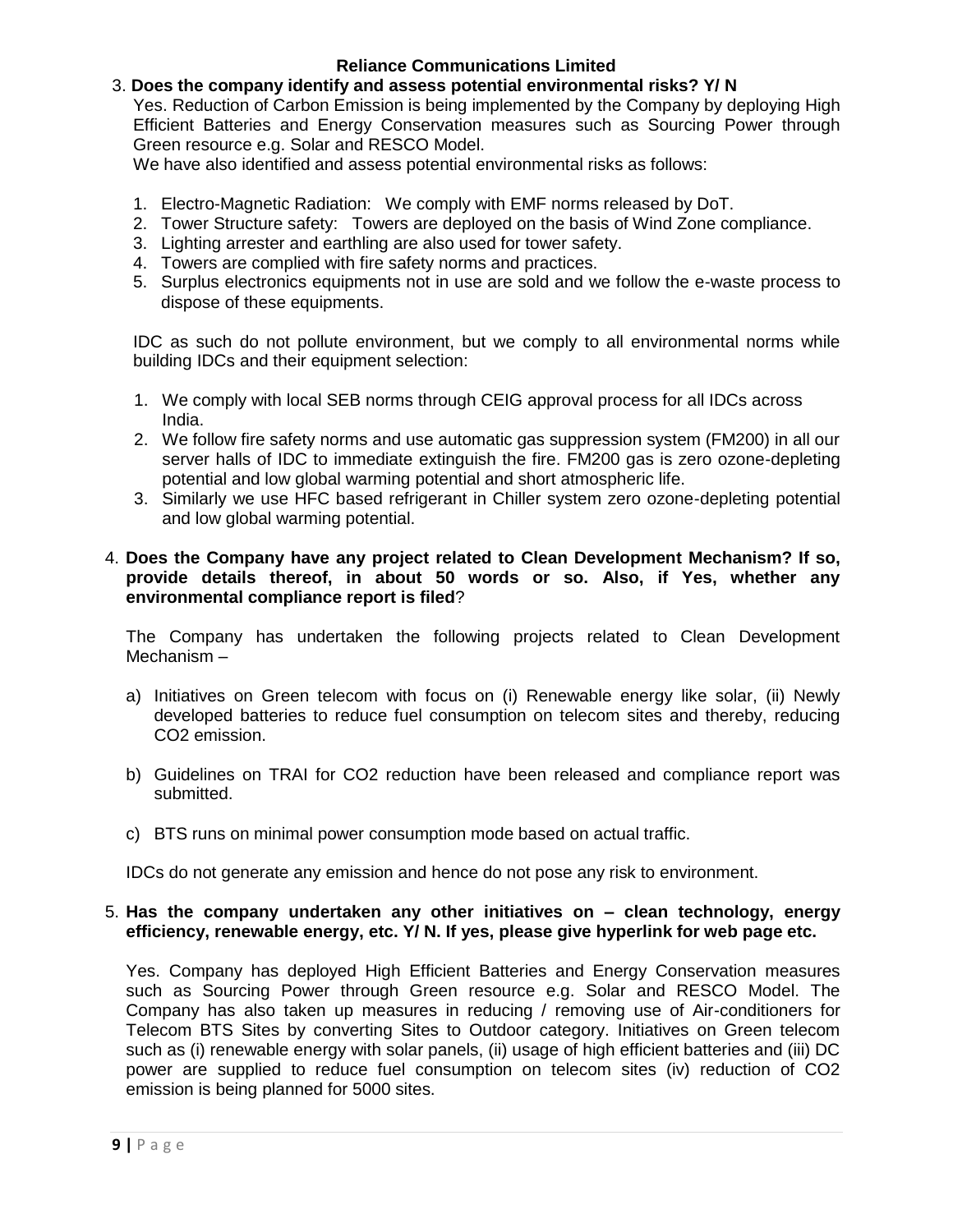# 3. **Does the company identify and assess potential environmental risks? Y/ N**

Yes. Reduction of Carbon Emission is being implemented by the Company by deploying High Efficient Batteries and Energy Conservation measures such as Sourcing Power through Green resource e.g. Solar and RESCO Model.

We have also identified and assess potential environmental risks as follows:

- 1. Electro-Magnetic Radiation: We comply with EMF norms released by DoT.
- 2. Tower Structure safety: Towers are deployed on the basis of Wind Zone compliance.
- 3. Lighting arrester and earthling are also used for tower safety.
- 4. Towers are complied with fire safety norms and practices.
- 5. Surplus electronics equipments not in use are sold and we follow the e-waste process to dispose of these equipments.

IDC as such do not pollute environment, but we comply to all environmental norms while building IDCs and their equipment selection:

- 1. We comply with local SEB norms through CEIG approval process for all IDCs across India.
- 2. We follow fire safety norms and use automatic gas suppression system (FM200) in all our server halls of IDC to immediate extinguish the fire. FM200 gas is zero ozone-depleting potential and low global warming potential and short atmospheric life.
- 3. Similarly we use HFC based refrigerant in Chiller system zero ozone-depleting potential and low global warming potential.

### 4. **Does the Company have any project related to Clean Development Mechanism? If so, provide details thereof, in about 50 words or so. Also, if Yes, whether any environmental compliance report is filed**?

The Company has undertaken the following projects related to Clean Development Mechanism –

- a) Initiatives on Green telecom with focus on (i) Renewable energy like solar, (ii) Newly developed batteries to reduce fuel consumption on telecom sites and thereby, reducing CO2 emission.
- b) Guidelines on TRAI for CO2 reduction have been released and compliance report was submitted.
- c) BTS runs on minimal power consumption mode based on actual traffic.

IDCs do not generate any emission and hence do not pose any risk to environment.

#### 5. **Has the company undertaken any other initiatives on – clean technology, energy efficiency, renewable energy, etc. Y/ N. If yes, please give hyperlink for web page etc.**

Yes. Company has deployed High Efficient Batteries and Energy Conservation measures such as Sourcing Power through Green resource e.g. Solar and RESCO Model. The Company has also taken up measures in reducing / removing use of Air-conditioners for Telecom BTS Sites by converting Sites to Outdoor category. Initiatives on Green telecom such as (i) renewable energy with solar panels, (ii) usage of high efficient batteries and (iii) DC power are supplied to reduce fuel consumption on telecom sites (iv) reduction of CO2 emission is being planned for 5000 sites.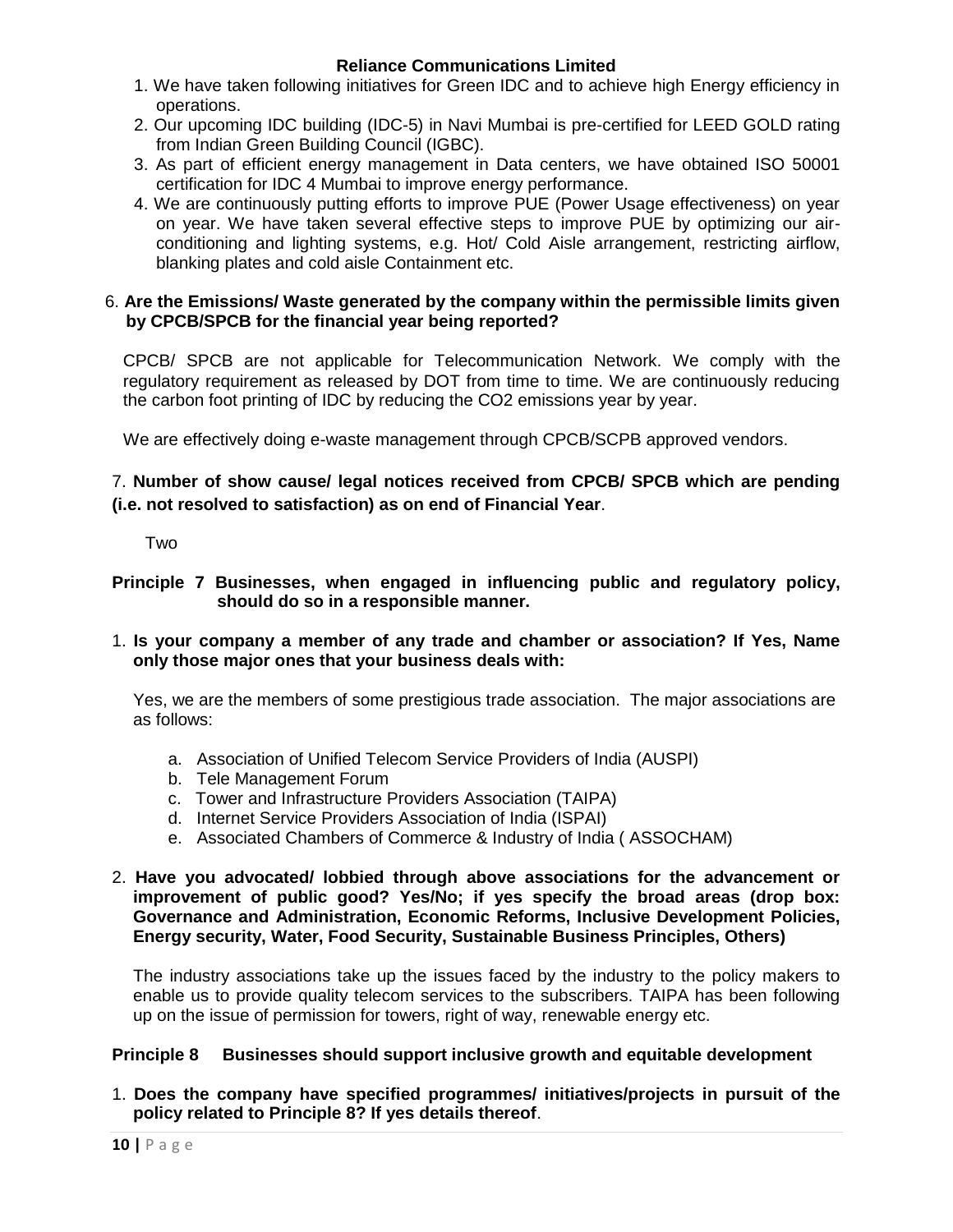- 1. We have taken following initiatives for Green IDC and to achieve high Energy efficiency in operations.
- 2. Our upcoming IDC building (IDC-5) in Navi Mumbai is pre-certified for LEED GOLD rating from Indian Green Building Council (IGBC).
- 3. As part of efficient energy management in Data centers, we have obtained ISO 50001 certification for IDC 4 Mumbai to improve energy performance.
- 4. We are continuously putting efforts to improve PUE (Power Usage effectiveness) on year on year. We have taken several effective steps to improve PUE by optimizing our airconditioning and lighting systems, e.g. Hot/ Cold Aisle arrangement, restricting airflow, blanking plates and cold aisle Containment etc.

### 6. **Are the Emissions/ Waste generated by the company within the permissible limits given by CPCB/SPCB for the financial year being reported?**

CPCB/ SPCB are not applicable for Telecommunication Network. We comply with the regulatory requirement as released by DOT from time to time. We are continuously reducing the carbon foot printing of IDC by reducing the CO2 emissions year by year.

We are effectively doing e-waste management through CPCB/SCPB approved vendors.

# 7. **Number of show cause/ legal notices received from CPCB/ SPCB which are pending (i.e. not resolved to satisfaction) as on end of Financial Year**.

**Two** 

# **Principle 7 Businesses, when engaged in influencing public and regulatory policy, should do so in a responsible manner.**

1. **Is your company a member of any trade and chamber or association? If Yes, Name only those major ones that your business deals with:**

Yes, we are the members of some prestigious trade association. The major associations are as follows:

- a. Association of Unified Telecom Service Providers of India (AUSPI)
- b. Tele Management Forum
- c. Tower and Infrastructure Providers Association (TAIPA)
- d. Internet Service Providers Association of India (ISPAI)
- e. Associated Chambers of Commerce & Industry of India ( ASSOCHAM)

### 2. **Have you advocated/ lobbied through above associations for the advancement or improvement of public good? Yes/No; if yes specify the broad areas (drop box: Governance and Administration, Economic Reforms, Inclusive Development Policies, Energy security, Water, Food Security, Sustainable Business Principles, Others)**

The industry associations take up the issues faced by the industry to the policy makers to enable us to provide quality telecom services to the subscribers. TAIPA has been following up on the issue of permission for towers, right of way, renewable energy etc.

#### **Principle 8 Businesses should support inclusive growth and equitable development**

# 1. **Does the company have specified programmes/ initiatives/projects in pursuit of the policy related to Principle 8? If yes details thereof**.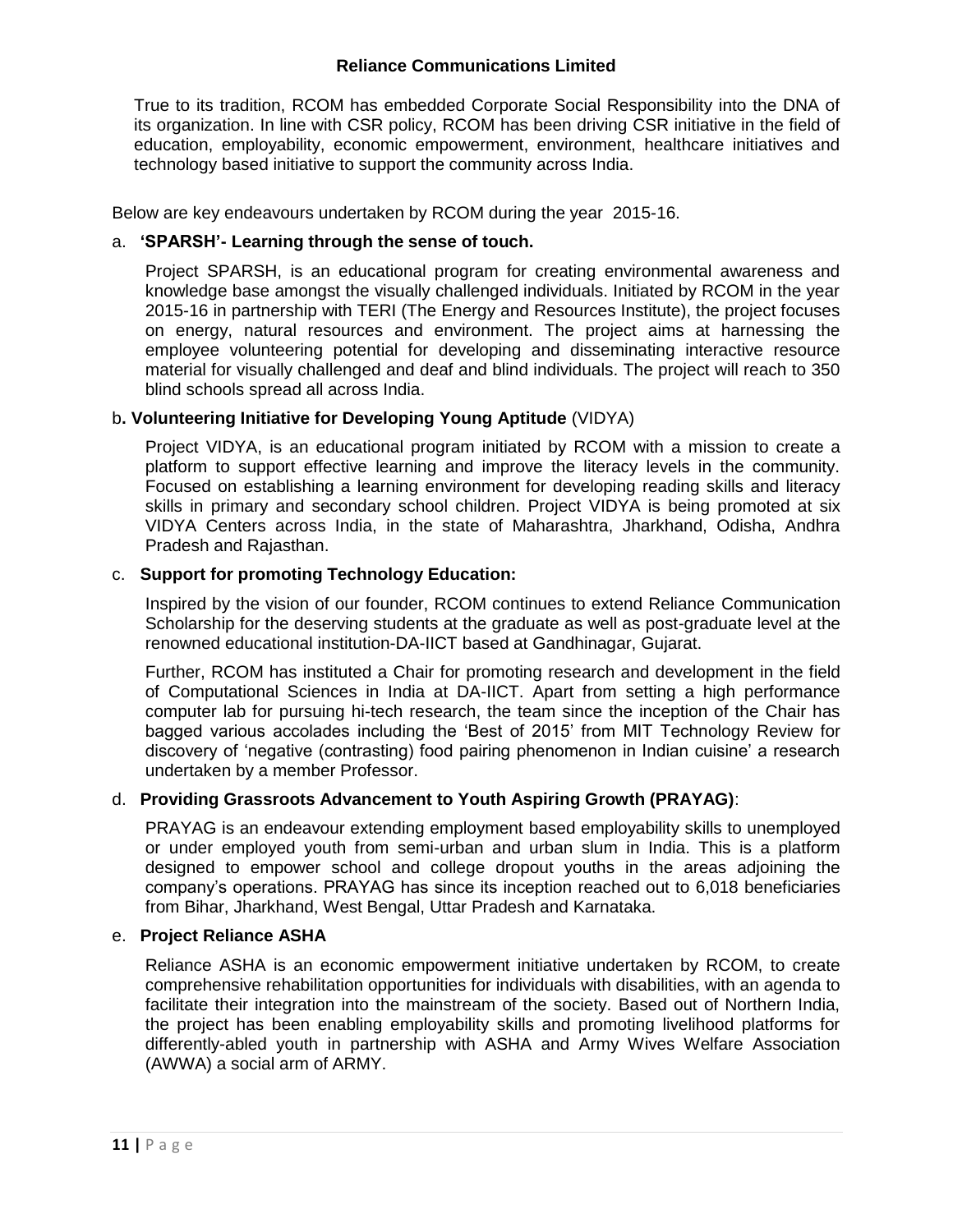True to its tradition, RCOM has embedded Corporate Social Responsibility into the DNA of its organization. In line with CSR policy, RCOM has been driving CSR initiative in the field of education, employability, economic empowerment, environment, healthcare initiatives and technology based initiative to support the community across India.

Below are key endeavours undertaken by RCOM during the year 2015-16.

## a. **'SPARSH'- Learning through the sense of touch.**

Project SPARSH, is an educational program for creating environmental awareness and knowledge base amongst the visually challenged individuals. Initiated by RCOM in the year 2015-16 in partnership with TERI (The Energy and Resources Institute), the project focuses on energy, natural resources and environment. The project aims at harnessing the employee volunteering potential for developing and disseminating interactive resource material for visually challenged and deaf and blind individuals. The project will reach to 350 blind schools spread all across India.

# b**. Volunteering Initiative for Developing Young Aptitude** (VIDYA)

Project VIDYA, is an educational program initiated by RCOM with a mission to create a platform to support effective learning and improve the literacy levels in the community. Focused on establishing a learning environment for developing reading skills and literacy skills in primary and secondary school children. Project VIDYA is being promoted at six VIDYA Centers across India, in the state of Maharashtra, Jharkhand, Odisha, Andhra Pradesh and Rajasthan.

# c. **Support for promoting Technology Education:**

Inspired by the vision of our founder, RCOM continues to extend Reliance Communication Scholarship for the deserving students at the graduate as well as post-graduate level at the renowned educational institution-DA-IICT based at Gandhinagar, Gujarat.

Further, RCOM has instituted a Chair for promoting research and development in the field of Computational Sciences in India at DA-IICT. Apart from setting a high performance computer lab for pursuing hi-tech research, the team since the inception of the Chair has bagged various accolades including the "Best of 2015" from MIT Technology Review for discovery of "negative (contrasting) food pairing phenomenon in Indian cuisine" a research undertaken by a member Professor.

# d. **Providing Grassroots Advancement to Youth Aspiring Growth (PRAYAG)**:

PRAYAG is an endeavour extending employment based employability skills to unemployed or under employed youth from semi-urban and urban slum in India. This is a platform designed to empower school and college dropout youths in the areas adjoining the company"s operations. PRAYAG has since its inception reached out to 6,018 beneficiaries from Bihar, Jharkhand, West Bengal, Uttar Pradesh and Karnataka.

#### e. **Project Reliance ASHA**

Reliance ASHA is an economic empowerment initiative undertaken by RCOM, to create comprehensive rehabilitation opportunities for individuals with disabilities, with an agenda to facilitate their integration into the mainstream of the society. Based out of Northern India, the project has been enabling employability skills and promoting livelihood platforms for differently-abled youth in partnership with ASHA and Army Wives Welfare Association (AWWA) a social arm of ARMY.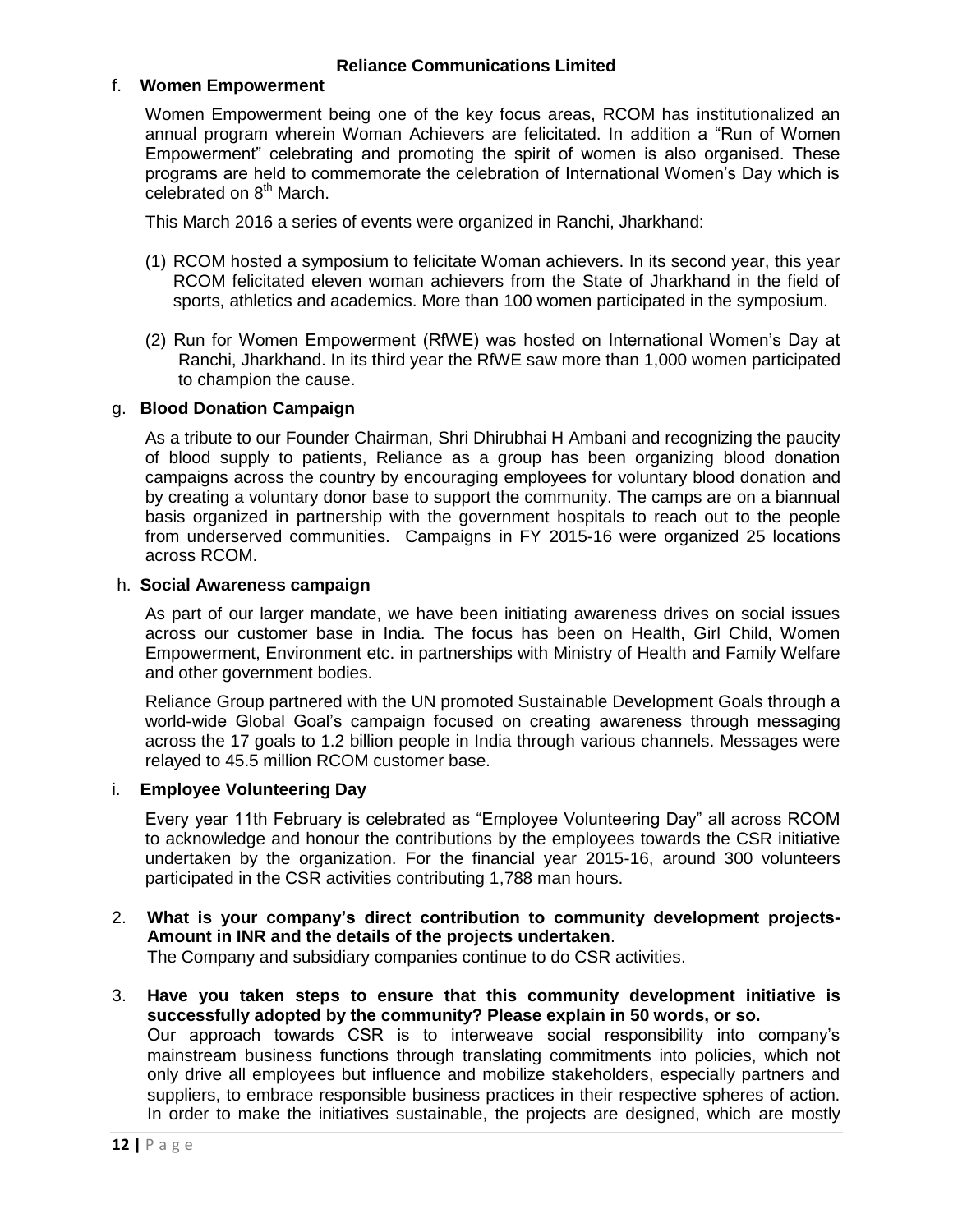### f. **Women Empowerment**

Women Empowerment being one of the key focus areas, RCOM has institutionalized an annual program wherein Woman Achievers are felicitated. In addition a "Run of Women Empowerment" celebrating and promoting the spirit of women is also organised. These programs are held to commemorate the celebration of International Women"s Day which is celebrated on 8<sup>th</sup> March.

This March 2016 a series of events were organized in Ranchi, Jharkhand:

- (1) RCOM hosted a symposium to felicitate Woman achievers. In its second year, this year RCOM felicitated eleven woman achievers from the State of Jharkhand in the field of sports, athletics and academics. More than 100 women participated in the symposium.
- (2) Run for Women Empowerment (RfWE) was hosted on International Women"s Day at Ranchi, Jharkhand. In its third year the RfWE saw more than 1,000 women participated to champion the cause.

### g. **Blood Donation Campaign**

As a tribute to our Founder Chairman, Shri Dhirubhai H Ambani and recognizing the paucity of blood supply to patients, Reliance as a group has been organizing blood donation campaigns across the country by encouraging employees for voluntary blood donation and by creating a voluntary donor base to support the community. The camps are on a biannual basis organized in partnership with the government hospitals to reach out to the people from underserved communities. Campaigns in FY 2015-16 were organized 25 locations across RCOM.

#### h. **Social Awareness campaign**

As part of our larger mandate, we have been initiating awareness drives on social issues across our customer base in India. The focus has been on Health, Girl Child, Women Empowerment, Environment etc. in partnerships with Ministry of Health and Family Welfare and other government bodies.

Reliance Group partnered with the UN promoted Sustainable Development Goals through a world-wide Global Goal"s campaign focused on creating awareness through messaging across the 17 goals to 1.2 billion people in India through various channels. Messages were relayed to 45.5 million RCOM customer base.

#### i. **Employee Volunteering Day**

Every year 11th February is celebrated as "Employee Volunteering Day" all across RCOM to acknowledge and honour the contributions by the employees towards the CSR initiative undertaken by the organization. For the financial year 2015-16, around 300 volunteers participated in the CSR activities contributing 1,788 man hours.

# 2. **What is your company's direct contribution to community development projects-Amount in INR and the details of the projects undertaken**.

The Company and subsidiary companies continue to do CSR activities.

3. **Have you taken steps to ensure that this community development initiative is successfully adopted by the community? Please explain in 50 words, or so.**  Our approach towards CSR is to interweave social responsibility into company"s mainstream business functions through translating commitments into policies, which not only drive all employees but influence and mobilize stakeholders, especially partners and suppliers, to embrace responsible business practices in their respective spheres of action.